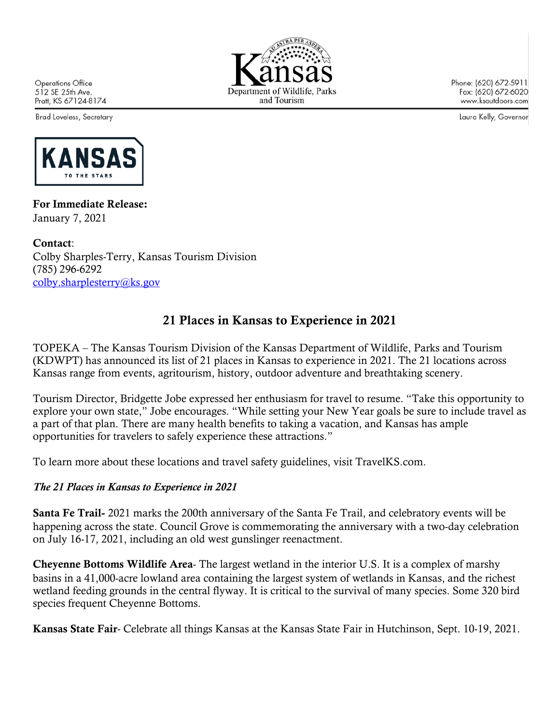**Operations Office** 512 SE 25th Ave. Pratt, KS 67124-8174

Brad Loveless, Secretary



Phone: (620) 672-5911 Fax: (620) 672-6020 www.ksoutdoors.com

Laura Kelly, Governor



For Immediate Release: January 7, 2021

Contact: Colby Sharples-Terry, Kansas Tourism Division (785) 296-6292 colby.sharplesterry@ks.gov

## 21 Places in Kansas to Experience in 2021

TOPEKA – The Kansas Tourism Division of the Kansas Department of Wildlife, Parks and Tourism (KDWPT) has announced its list of 21 places in Kansas to experience in 2021. The 21 locations across Kansas range from events, agritourism, history, outdoor adventure and breathtaking scenery.

Tourism Director, Bridgette Jobe expressed her enthusiasm for travel to resume. "Take this opportunity to explore your own state," Jobe encourages. "While setting your New Year goals be sure to include travel as a part of that plan. There are many health benefits to taking a vacation, and Kansas has ample opportunities for travelers to safely experience these attractions."

To learn more about these locations and travel safety guidelines, visit TravelKS.com.

## *The 21 Places in Kansas to Experience in 2021*

Santa Fe Trail- 2021 marks the 200th anniversary of the Santa Fe Trail, and celebratory events will be happening across the state. Council Grove is commemorating the anniversary with a two-day celebration on July 16-17, 2021, including an old west gunslinger reenactment.

Cheyenne Bottoms Wildlife Area- The largest wetland in the interior U.S. It is a complex of marshy basins in a 41,000-acre lowland area containing the largest system of wetlands in Kansas, and the richest wetland feeding grounds in the central flyway. It is critical to the survival of many species. Some 320 bird species frequent Cheyenne Bottoms.

Kansas State Fair- Celebrate all things Kansas at the Kansas State Fair in Hutchinson, Sept. 10-19, 2021.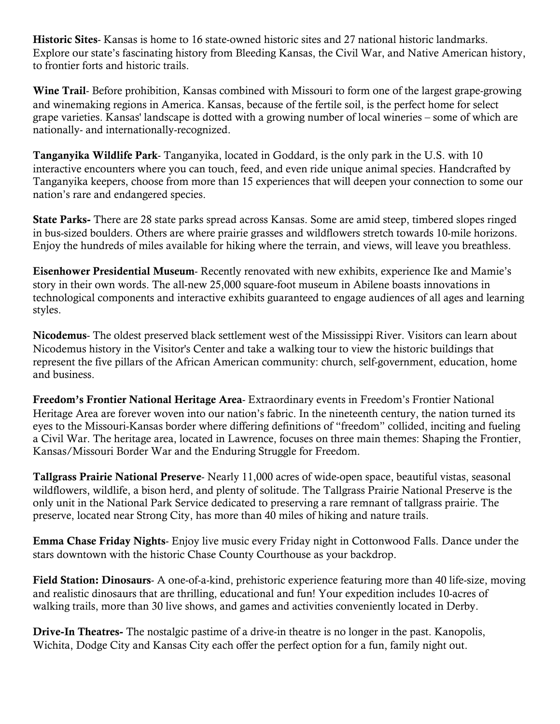Historic Sites- Kansas is home to 16 state-owned historic sites and 27 national historic landmarks. Explore our state's fascinating history from Bleeding Kansas, the Civil War, and Native American history, to frontier forts and historic trails.

Wine Trail- Before prohibition, Kansas combined with Missouri to form one of the largest grape-growing and winemaking regions in America. Kansas, because of the fertile soil, is the perfect home for select grape varieties. Kansas' landscape is dotted with a growing number of local wineries – some of which are nationally- and internationally-recognized.

Tanganyika Wildlife Park- Tanganyika, located in Goddard, is the only park in the U.S. with 10 interactive encounters where you can touch, feed, and even ride unique animal species. Handcrafted by Tanganyika keepers, choose from more than 15 experiences that will deepen your connection to some our nation's rare and endangered species.

State Parks- There are 28 state parks spread across Kansas. Some are amid steep, timbered slopes ringed in bus-sized boulders. Others are where prairie grasses and wildflowers stretch towards 10-mile horizons. Enjoy the hundreds of miles available for hiking where the terrain, and views, will leave you breathless.

Eisenhower Presidential Museum- Recently renovated with new exhibits, experience Ike and Mamie's story in their own words. The all-new 25,000 square-foot museum in Abilene boasts innovations in technological components and interactive exhibits guaranteed to engage audiences of all ages and learning styles.

Nicodemus- The oldest preserved black settlement west of the Mississippi River. Visitors can learn about Nicodemus history in the Visitor's Center and take a walking tour to view the historic buildings that represent the five pillars of the African American community: church, self-government, education, home and business.

Freedom's Frontier National Heritage Area- Extraordinary events in Freedom's Frontier National Heritage Area are forever woven into our nation's fabric. In the nineteenth century, the nation turned its eyes to the Missouri-Kansas border where differing definitions of "freedom" collided, inciting and fueling a Civil War. The heritage area, located in Lawrence, focuses on three main themes: Shaping the Frontier, Kansas/Missouri Border War and the Enduring Struggle for Freedom.

Tallgrass Prairie National Preserve- Nearly 11,000 acres of wide-open space, beautiful vistas, seasonal wildflowers, wildlife, a bison herd, and plenty of solitude. The Tallgrass Prairie National Preserve is the only unit in the National Park Service dedicated to preserving a rare remnant of tallgrass prairie. The preserve, located near Strong City, has more than 40 miles of hiking and nature trails.

Emma Chase Friday Nights- Enjoy live music every Friday night in Cottonwood Falls. Dance under the stars downtown with the historic Chase County Courthouse as your backdrop.

Field Station: Dinosaurs- A one-of-a-kind, prehistoric experience featuring more than 40 life-size, moving and realistic dinosaurs that are thrilling, educational and fun! Your expedition includes 10-acres of walking trails, more than 30 live shows, and games and activities conveniently located in Derby.

Drive-In Theatres- The nostalgic pastime of a drive-in theatre is no longer in the past. Kanopolis, Wichita, Dodge City and Kansas City each offer the perfect option for a fun, family night out.